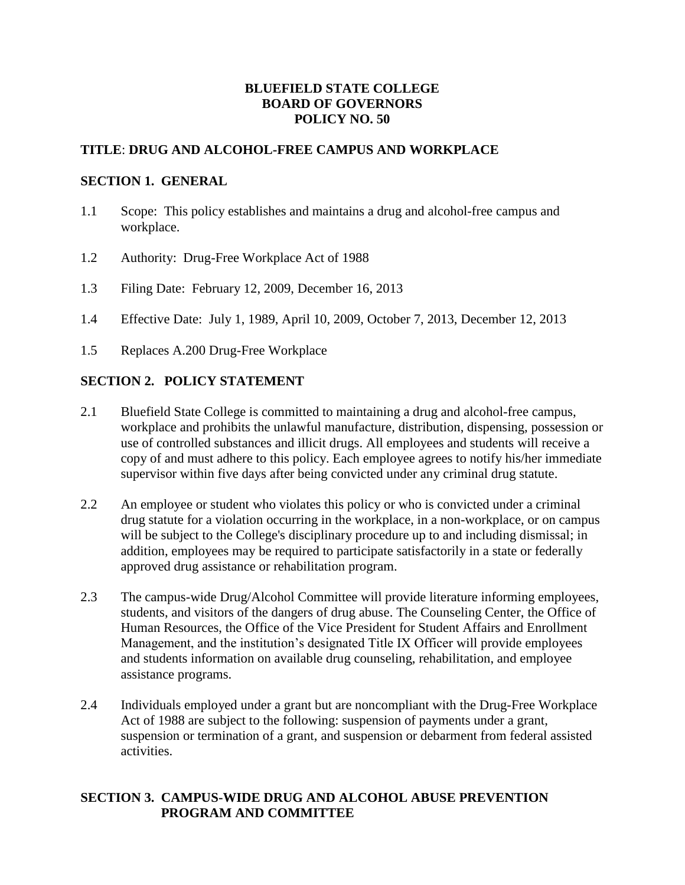# **BLUEFIELD STATE COLLEGE BOARD OF GOVERNORS POLICY NO. 50**

### **TITLE**: **DRUG AND ALCOHOL-FREE CAMPUS AND WORKPLACE**

#### **SECTION 1. GENERAL**

- 1.1 Scope: This policy establishes and maintains a drug and alcohol-free campus and workplace.
- 1.2 Authority: Drug-Free Workplace Act of 1988
- 1.3 Filing Date: February 12, 2009, December 16, 2013
- 1.4 Effective Date: July 1, 1989, April 10, 2009, October 7, 2013, December 12, 2013
- 1.5 Replaces A.200 Drug-Free Workplace

# **SECTION 2. POLICY STATEMENT**

- 2.1 Bluefield State College is committed to maintaining a drug and alcohol-free campus, workplace and prohibits the unlawful manufacture, distribution, dispensing, possession or use of controlled substances and illicit drugs. All employees and students will receive a copy of and must adhere to this policy. Each employee agrees to notify his/her immediate supervisor within five days after being convicted under any criminal drug statute.
- 2.2 An employee or student who violates this policy or who is convicted under a criminal drug statute for a violation occurring in the workplace, in a non-workplace, or on campus will be subject to the College's disciplinary procedure up to and including dismissal; in addition, employees may be required to participate satisfactorily in a state or federally approved drug assistance or rehabilitation program.
- 2.3 The campus-wide Drug/Alcohol Committee will provide literature informing employees, students, and visitors of the dangers of drug abuse. The Counseling Center, the Office of Human Resources, the Office of the Vice President for Student Affairs and Enrollment Management, and the institution's designated Title IX Officer will provide employees and students information on available drug counseling, rehabilitation, and employee assistance programs.
- 2.4 Individuals employed under a grant but are noncompliant with the Drug-Free Workplace Act of 1988 are subject to the following: suspension of payments under a grant, suspension or termination of a grant, and suspension or debarment from federal assisted activities.

# **SECTION 3. CAMPUS-WIDE DRUG AND ALCOHOL ABUSE PREVENTION PROGRAM AND COMMITTEE**